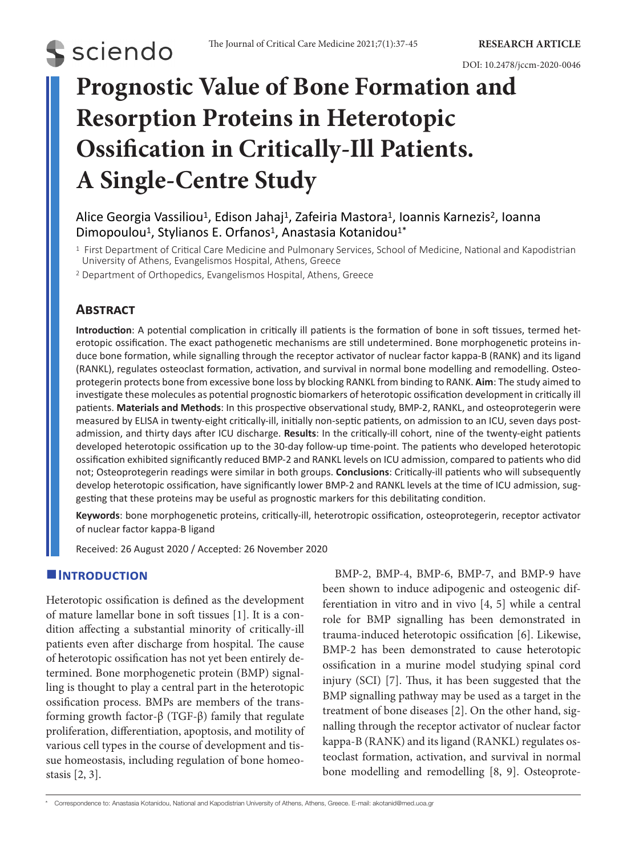

# **Prognostic Value of Bone Formation and Resorption Proteins in Heterotopic Ossification in Critically-Ill Patients. A Single-Centre Study**

# Alice Georgia Vassiliou<sup>1</sup>, Edison Jahaj<sup>1</sup>, Zafeiria Mastora<sup>1</sup>, Ioannis Karnezis<sup>2</sup>, Ioanna Dimopoulou<sup>1</sup>, Stylianos E. Orfanos<sup>1</sup>, Anastasia Kotanidou<sup>1\*</sup>

<sup>1</sup> First Department of Critical Care Medicine and Pulmonary Services, School of Medicine, National and Kapodistrian University of Athens, Evangelismos Hospital, Athens, Greece

<sup>2</sup> Department of Orthopedics, Evangelismos Hospital, Athens, Greece

# **Abstract**

**S** sciendo

**Introduction**: A potential complication in critically ill patients is the formation of bone in soft tissues, termed heterotopic ossification. The exact pathogenetic mechanisms are still undetermined. Bone morphogenetic proteins induce bone formation, while signalling through the receptor activator of nuclear factor kappa-Β (RANK) and its ligand (RANKL), regulates osteoclast formation, activation, and survival in normal bone modelling and remodelling. Osteoprotegerin protects bone from excessive bone loss by blocking RANKL from binding to RANK. **Aim**: The study aimed to investigate these molecules as potential prognostic biomarkers of heterotopic ossification development in critically ill patients. **Materials and Methods**: In this prospective observational study, BMP-2, RANKL, and osteoprotegerin were measured by ELISA in twenty-eight critically-ill, initially non-septic patients, on admission to an ICU, seven days postadmission, and thirty days after ICU discharge. **Results**: In the critically-ill cohort, nine of the twenty-eight patients developed heterotopic ossification up to the 30-day follow-up time-point. The patients who developed heterotopic ossification exhibited significantly reduced BMP-2 and RANKL levels on ICU admission, compared to patients who did not; Osteoprotegerin readings were similar in both groups. **Conclusions**: Critically-ill patients who will subsequently develop heterotopic ossification, have significantly lower BMP-2 and RANKL levels at the time of ICU admission, suggesting that these proteins may be useful as prognostic markers for this debilitating condition.

**Keywords**: bone morphogenetic proteins, critically-ill, heterotropic ossification, osteoprotegerin, receptor activator of nuclear factor kappa-Β ligand

Received: 26 August 2020 / Accepted: 26 November 2020

#### **Introduction**

Heterotopic ossification is defined as the development of mature lamellar bone in soft tissues [1]. It is a condition affecting a substantial minority of critically-ill patients even after discharge from hospital. The cause of heterotopic ossification has not yet been entirely determined. Bone morphogenetic protein (BMP) signalling is thought to play a central part in the heterotopic ossification process. BMPs are members of the transforming growth factor‐β (TGF‐β) family that regulate proliferation, differentiation, apoptosis, and motility of various cell types in the course of development and tissue homeostasis, including regulation of bone homeostasis [2, 3].

BMP-2, BMP-4, BMP-6, BMP-7, and BMP-9 have been shown to induce adipogenic and osteogenic differentiation in vitro and in vivo [4, 5] while a central role for BMP signalling has been demonstrated in trauma-induced heterotopic ossification [6]. Likewise, BMP-2 has been demonstrated to cause heterotopic ossification in a murine model studying spinal cord injury (SCI) [7]. Thus, it has been suggested that the BMP signalling pathway may be used as a target in the treatment of bone diseases [2]. On the other hand, signalling through the receptor activator of nuclear factor kappa-Β (RANK) and its ligand (RANKL) regulates osteoclast formation, activation, and survival in normal bone modelling and remodelling [8, 9]. Osteoprote-

<sup>\*</sup> Correspondence to: Anastasia Kotanidou, National and Kapodistrian University of Athens, Athens, Greece. E-mail: akotanid@med.uoa.gr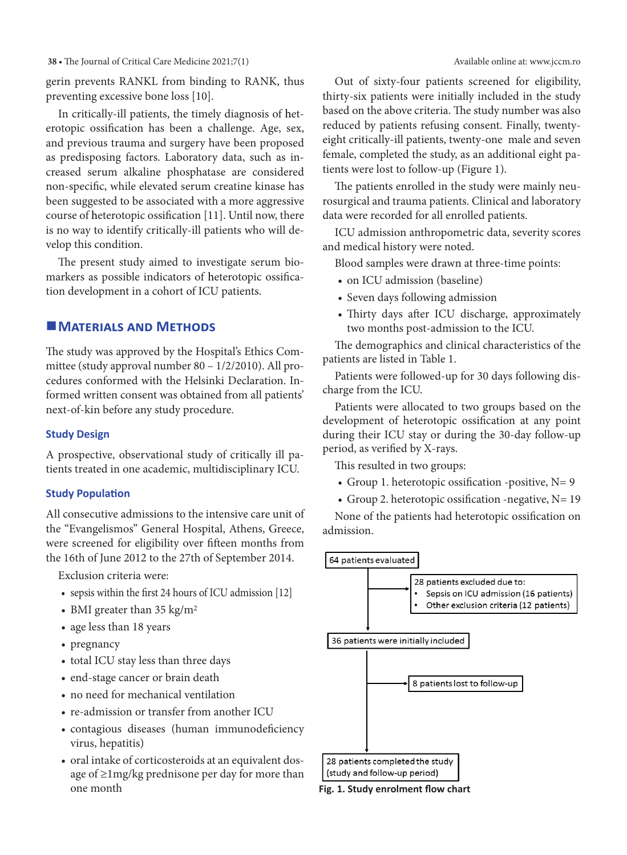**38 •** The Journal of Critical Care Medicine 2021;7(1) Available online at: www.jccm.ro

gerin prevents RANKL from binding to RANK, thus preventing excessive bone loss [10].

In critically-ill patients, the timely diagnosis of heterotopic ossification has been a challenge. Age, sex, and previous trauma and surgery have been proposed as predisposing factors. Laboratory data, such as increased serum alkaline phosphatase are considered non-specific, while elevated serum creatine kinase has been suggested to be associated with a more aggressive course of heterotopic ossification [11]. Until now, there is no way to identify critically-ill patients who will develop this condition.

The present study aimed to investigate serum biomarkers as possible indicators of heterotopic ossification development in a cohort of ICU patients.

## **MATERIALS AND METHODS**

The study was approved by the Hospital's Ethics Committee (study approval number 80 – 1/2/2010). All procedures conformed with the Helsinki Declaration. Informed written consent was obtained from all patients' next-of-kin before any study procedure.

#### **Study Design**

A prospective, observational study of critically ill patients treated in one academic, multidisciplinary ICU.

#### **Study Population**

All consecutive admissions to the intensive care unit of the "Evangelismos" General Hospital, Athens, Greece, were screened for eligibility over fifteen months from the 16th of June 2012 to the 27th of September 2014.

Exclusion criteria were:

- sepsis within the first 24 hours of ICU admission [12]
- BMI greater than  $35 \text{ kg/m}^2$
- age less than 18 years
- pregnancy
- total ICU stay less than three days
- end-stage cancer or brain death
- no need for mechanical ventilation
- re-admission or transfer from another ICU
- • contagious diseases (human immunodeficiency virus, hepatitis)
- • oral intake of corticosteroids at an equivalent dosage of ≥1mg/kg prednisone per day for more than one month

Out of sixty-four patients screened for eligibility, thirty-six patients were initially included in the study based on the above criteria. The study number was also reduced by patients refusing consent. Finally, twentyeight critically-ill patients, twenty-one male and seven female, completed the study, as an additional eight patients were lost to follow-up (Figure 1).

The patients enrolled in the study were mainly neurosurgical and trauma patients. Clinical and laboratory data were recorded for all enrolled patients.

ICU admission anthropometric data, severity scores and medical history were noted.

Blood samples were drawn at three-time points:

- on ICU admission (baseline)
- Seven days following admission
- • Thirty days after ICU discharge, approximately two months post-admission to the ICU.

The demographics and clinical characteristics of the patients are listed in Table 1.

Patients were followed-up for 30 days following discharge from the ICU.

Patients were allocated to two groups based on the development of heterotopic ossification at any point during their ICU stay or during the 30-day follow-up period, as verified by X-rays.

This resulted in two groups:

- Group 1. heterotopic ossification -positive,  $N=9$
- Group 2. heterotopic ossification -negative,  $N=19$

None of the patients had heterotopic ossification on admission.



**Fig. 1. Study enrolment flow chart**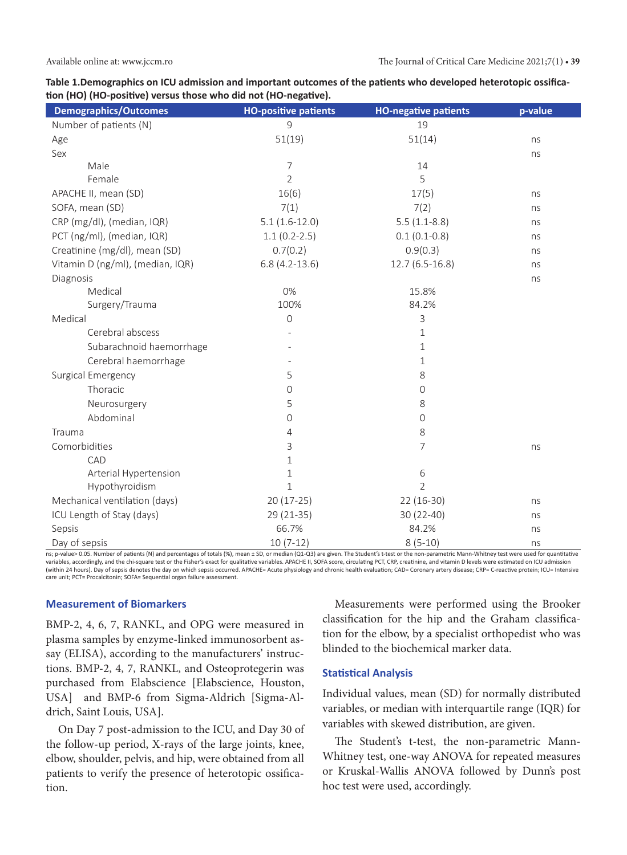| Table 1.Demographics on ICU admission and important outcomes of the patients who developed heterotopic ossifica- |
|------------------------------------------------------------------------------------------------------------------|
| tion (HO) (HO-positive) versus those who did not (HO-negative).                                                  |

| <b>Demographics/Outcomes</b>     | <b>HO-positive patients</b> | <b>HO-negative patients</b> | p-value |
|----------------------------------|-----------------------------|-----------------------------|---------|
| Number of patients (N)           | 9                           | 19                          |         |
| Age                              | 51(19)                      | 51(14)                      | ns      |
| Sex                              |                             |                             | ns      |
| Male                             | $\overline{7}$              | 14                          |         |
| Female                           | $\overline{2}$              | 5                           |         |
| APACHE II, mean (SD)             | 16(6)                       | 17(5)                       | ns      |
| SOFA, mean (SD)                  | 7(1)                        | 7(2)                        | ns      |
| CRP (mg/dl), (median, IQR)       | $5.1(1.6-12.0)$             | $5.5(1.1-8.8)$              | ns      |
| PCT (ng/ml), (median, IQR)       | $1.1(0.2-2.5)$              | $0.1(0.1-0.8)$              | ns      |
| Creatinine (mg/dl), mean (SD)    | 0.7(0.2)                    | 0.9(0.3)                    | ns      |
| Vitamin D (ng/ml), (median, IQR) | $6.8(4.2-13.6)$             | $12.7(6.5-16.8)$            | ns      |
| Diagnosis                        |                             |                             | ns      |
| Medical                          | 0%                          | 15.8%                       |         |
| Surgery/Trauma                   | 100%                        | 84.2%                       |         |
| Medical                          | $\mathbf 0$                 | 3                           |         |
| Cerebral abscess                 |                             | 1                           |         |
| Subarachnoid haemorrhage         |                             | 1                           |         |
| Cerebral haemorrhage             |                             | 1                           |         |
| Surgical Emergency               | 5                           | 8                           |         |
| Thoracic                         | 0                           | 0                           |         |
| Neurosurgery                     | 5                           | 8                           |         |
| Abdominal                        | 0                           | 0                           |         |
| Trauma                           | 4                           | 8                           |         |
| Comorbidities                    | 3                           | 7                           | ns      |
| CAD                              | $1\,$                       |                             |         |
| Arterial Hypertension            | $1\,$                       | 6                           |         |
| Hypothyroidism                   | $\mathbf{1}$                | $\overline{2}$              |         |
| Mechanical ventilation (days)    | 20 (17-25)                  | 22 (16-30)                  | ns      |
| ICU Length of Stay (days)        | 29 (21-35)                  | 30 (22-40)                  | ns      |
| Sepsis                           | 66.7%                       | 84.2%                       | ns      |
| Day of sepsis                    | $10(7-12)$                  | $8(5-10)$                   | ns      |

ns; p-value> 0.05. Number of patients (N) and percentages of totals (%), mean ± SD, or median (Q1-Q3) are given. The Student's t-test or the non-parametric Mann-Whitney test were used for quantitative variables, accordingly, and the chi-square test or the Fisher's exact for qualitative variables. APACHE II, SOFA score, circulating PCT, CRP, creatinine, and vitamin D levels were estimated on ICU admission (within 24 hours). Day of sepsis denotes the day on which sepsis occurred. APACHE= Acute physiology and chronic health evaluation; CAD= Coronary artery disease; CRP= C-reactive protein; ICU= Intensive care unit; PCT= Procalcitonin; SOFA= Sequential organ failure assessment.

#### **Measurement of Biomarkers**

BMP-2, 4, 6, 7, RANKL, and OPG were measured in plasma samples by enzyme-linked immunosorbent assay (ELISA), according to the manufacturers' instructions. BMP-2, 4, 7, RANKL, and Osteoprotegerin was purchased from Elabscience [Elabscience, Houston, USA] and BMP-6 from Sigma-Aldrich [Sigma-Aldrich, Saint Louis, USA].

On Day 7 post-admission to the ICU, and Day 30 of the follow-up period, X-rays of the large joints, knee, elbow, shoulder, pelvis, and hip, were obtained from all patients to verify the presence of heterotopic ossification.

Measurements were performed using the Brooker classification for the hip and the Graham classification for the elbow, by a specialist orthopedist who was blinded to the biochemical marker data.

#### **Statistical Analysis**

Individual values, mean (SD) for normally distributed variables, or median with interquartile range (IQR) for variables with skewed distribution, are given.

The Student's t-test, the non-parametric Mann-Whitney test, one-way ANOVA for repeated measures or Kruskal-Wallis ANOVA followed by Dunn's post hoc test were used, accordingly.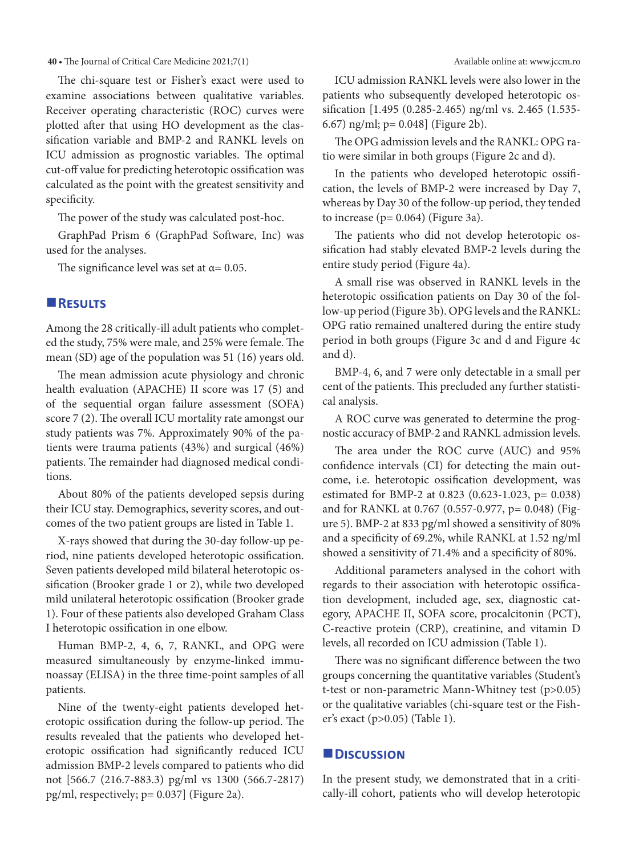**40 •** The Journal of Critical Care Medicine 2021;7(1) Available online at: www.jccm.ro

The chi-square test or Fisher's exact were used to examine associations between qualitative variables. Receiver operating characteristic (ROC) curves were plotted after that using ΗΟ development as the classification variable and BMP-2 and RANKL levels on ICU admission as prognostic variables. The optimal cut-off value for predicting heterotopic ossification was calculated as the point with the greatest sensitivity and specificity.

The power of the study was calculated post-hoc.

GraphPad Prism 6 (GraphPad Software, Inc) was used for the analyses.

The significance level was set at  $\alpha$  = 0.05.

#### **Results**

Among the 28 critically-ill adult patients who completed the study, 75% were male, and 25% were female. The mean (SD) age of the population was 51 (16) years old.

The mean admission acute physiology and chronic health evaluation (APACHE) II score was 17 (5) and of the sequential organ failure assessment (SOFA) score 7 (2). The overall ICU mortality rate amongst our study patients was 7%. Approximately 90% of the patients were trauma patients (43%) and surgical (46%) patients. The remainder had diagnosed medical conditions.

About 80% of the patients developed sepsis during their ICU stay. Demographics, severity scores, and outcomes of the two patient groups are listed in Table 1.

X-rays showed that during the 30-day follow-up period, nine patients developed heterotopic ossification. Seven patients developed mild bilateral heterotopic ossification (Brooker grade 1 or 2), while two developed mild unilateral heterotopic ossification (Brooker grade 1). Four of these patients also developed Graham Class I heterotopic ossification in one elbow.

Human BMP-2, 4, 6, 7, RANKL, and OPG were measured simultaneously by enzyme-linked immunoassay (ELISA) in the three time-point samples of all patients.

Nine of the twenty-eight patients developed heterotopic ossification during the follow-up period. The results revealed that the patients who developed heterotopic ossification had significantly reduced ICU admission BMP-2 levels compared to patients who did not [566.7 (216.7-883.3) pg/ml vs 1300 (566.7-2817) pg/ml, respectively; p= 0.037] (Figure 2a).

ICU admission RANKL levels were also lower in the patients who subsequently developed heterotopic ossification [1.495 (0.285-2.465) ng/ml vs. 2.465 (1.535- 6.67) ng/ml; p= 0.048] (Figure 2b).

The OPG admission levels and the RANKL: OPG ratio were similar in both groups (Figure 2c and d).

In the patients who developed heterotopic ossification, the levels of BMP-2 were increased by Day 7, whereas by Day 30 of the follow-up period, they tended to increase ( $p= 0.064$ ) (Figure 3a).

The patients who did not develop heterotopic ossification had stably elevated BMP-2 levels during the entire study period (Figure 4a).

A small rise was observed in RANKL levels in the heterotopic ossification patients on Day 30 of the follow-up period (Figure 3b). OPG levels and the RANKL: OPG ratio remained unaltered during the entire study period in both groups (Figure 3c and d and Figure 4c and d).

BMP-4, 6, and 7 were only detectable in a small per cent of the patients. This precluded any further statistical analysis.

A ROC curve was generated to determine the prognostic accuracy of BMP-2 and RANKL admission levels.

The area under the ROC curve (AUC) and 95% confidence intervals (CI) for detecting the main outcome, i.e. heterotopic ossification development, was estimated for BMP-2 at 0.823 (0.623-1.023, p= 0.038) and for RANKL at 0.767 (0.557-0.977, p= 0.048) (Figure 5). BMP-2 at 833 pg/ml showed a sensitivity of 80% and a specificity of 69.2%, while RANKL at 1.52 ng/ml showed a sensitivity of 71.4% and a specificity of 80%.

Additional parameters analysed in the cohort with regards to their association with heterotopic ossification development, included age, sex, diagnostic category, APACHE II, SOFA score, procalcitonin (PCT), C-reactive protein (CRP), creatinine, and vitamin D levels, all recorded on ICU admission (Table 1).

There was no significant difference between the two groups concerning the quantitative variables (Student's t-test or non-parametric Mann-Whitney test (p>0.05) or the qualitative variables (chi-square test or the Fisher's exact (p>0.05) (Table 1).

#### **Discussion**

In the present study, we demonstrated that in a critically-ill cohort, patients who will develop heterotopic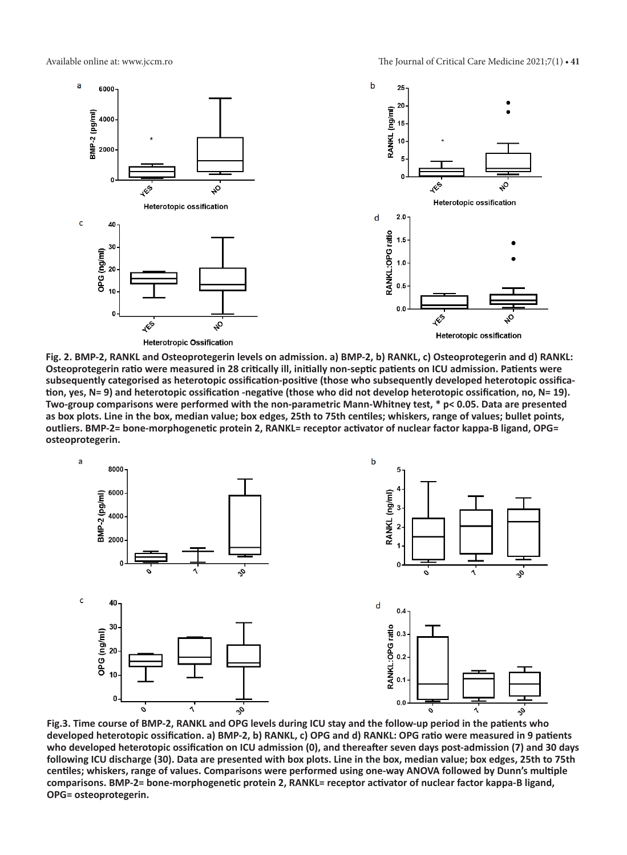

**Fig. 2. BMP-2, RANKL and Osteoprotegerin levels on admission. a) BMP-2, b) RANKL, c) Osteoprotegerin and d) RANKL: Osteoprotegerin ratio were measured in 28 critically ill, initially non-septic patients on ICU admission. Patients were subsequently categorised as heterotopic ossification-positive (those who subsequently developed heterotopic ossification, yes, N= 9) and heterotopic ossification -negative (those who did not develop heterotopic ossification, no, N= 19). Two-group comparisons were performed with the non-parametric Mann-Whitney test, \* p< 0.05. Data are presented as box plots. Line in the box, median value; box edges, 25th to 75th centiles; whiskers, range of values; bullet points, outliers. BMP-2= bone-morphogenetic protein 2, RANKL= receptor activator of nuclear factor kappa-Β ligand, OPG= osteoprotegerin.**



**Fig.3. Time course of BMP-2, RANKL and OPG levels during ICU stay and the follow-up period in the patients who developed heterotopic ossification. a) BMP-2, b) RANKL, c) OPG and d) RANKL: OPG ratio were measured in 9 patients who developed heterotopic ossification on ICU admission (0), and thereafter seven days post-admission (7) and 30 days following ICU discharge (30). Data are presented with box plots. Line in the box, median value; box edges, 25th to 75th centiles; whiskers, range of values. Comparisons were performed using one-way ANOVA followed by Dunn's multiple comparisons. BMP-2= bone-morphogenetic protein 2, RANKL= receptor activator of nuclear factor kappa-Β ligand, OPG= osteoprotegerin.**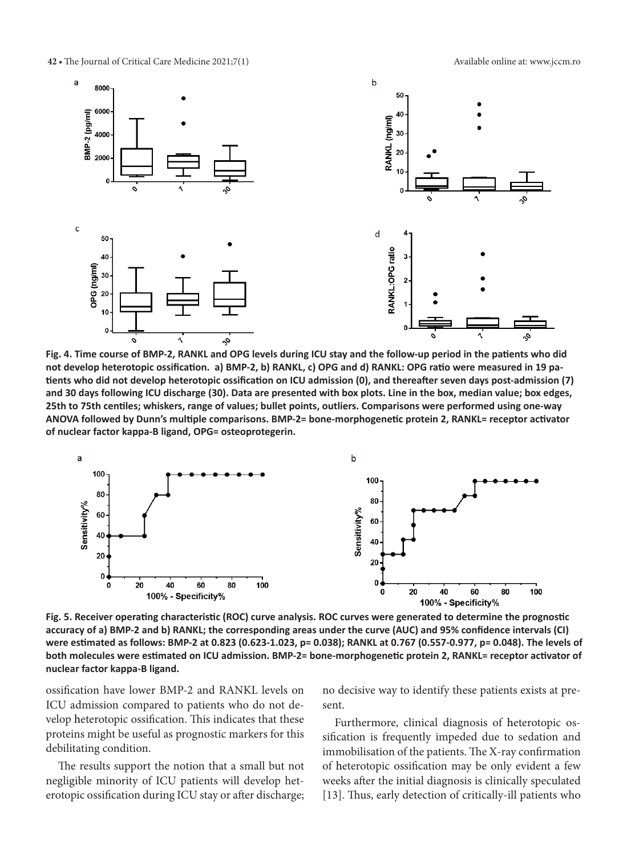**42 •** The Journal of Critical Care Medicine 2021;7(1) Available online at: www.jccm.ro



**Fig. 4. Time course of BMP-2, RANKL and OPG levels during ICU stay and the follow-up period in the patients who did not develop heterotopic ossification. a) BMP-2, b) RANKL, c) OPG and d) RANKL: OPG ratio were measured in 19 patients who did not develop heterotopic ossification on ICU admission (0), and thereafter seven days post-admission (7) and 30 days following ICU discharge (30). Data are presented with box plots. Line in the box, median value; box edges, 25th to 75th centiles; whiskers, range of values; bullet points, outliers. Comparisons were performed using one-way ANOVA followed by Dunn's multiple comparisons. BMP-2= bone-morphogenetic protein 2, RANKL= receptor activator of nuclear factor kappa-Β ligand, OPG= osteoprotegerin.**



**Fig. 5. Receiver operating characteristic (ROC) curve analysis. ROC curves were generated to determine the prognostic accuracy of a) BMP-2 and b) RANKL; the corresponding areas under the curve (AUC) and 95% confidence intervals (CI) were estimated as follows: BMP-2 at 0.823 (0.623-1.023, p= 0.038); RANKL at 0.767 (0.557-0.977, p= 0.048). The levels of**  both molecules were estimated on ICU admission. BMP-2= bone-morphogenetic protein 2, RANKL= receptor activator of **nuclear factor kappa-Β ligand.**

ossification have lower BMP-2 and RANKL levels on ICU admission compared to patients who do not develop heterotopic ossification. This indicates that these proteins might be useful as prognostic markers for this debilitating condition.

The results support the notion that a small but not negligible minority of ICU patients will develop heterotopic ossification during ICU stay or after discharge; no decisive way to identify these patients exists at present.

Furthermore, clinical diagnosis of heterotopic ossification is frequently impeded due to sedation and immobilisation of the patients. The X-ray confirmation of heterotopic ossification may be only evident a few weeks after the initial diagnosis is clinically speculated [13]. Thus, early detection of critically-ill patients who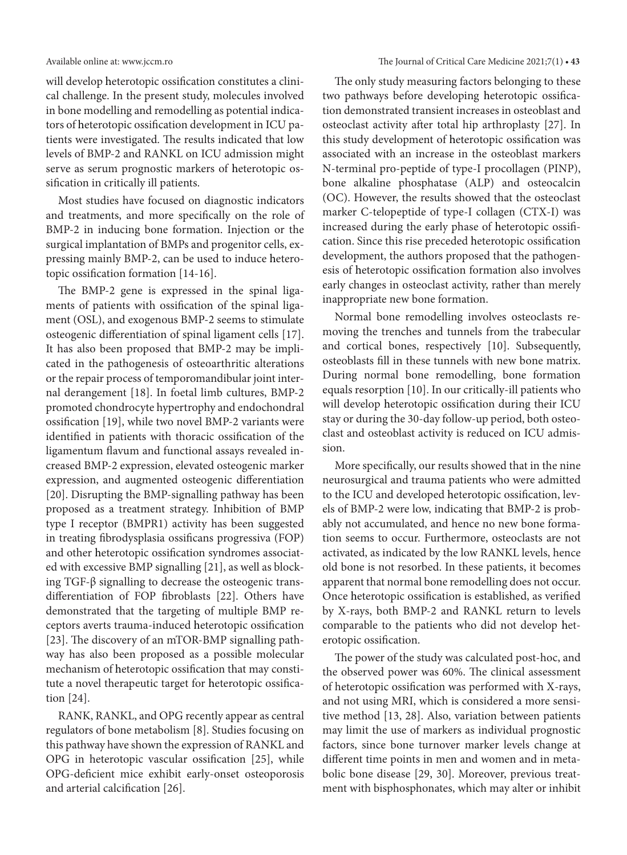will develop heterotopic ossification constitutes a clinical challenge. In the present study, molecules involved in bone modelling and remodelling as potential indicators of heterotopic ossification development in ICU patients were investigated. The results indicated that low levels of BMP-2 and RANKL on ICU admission might serve as serum prognostic markers of heterotopic ossification in critically ill patients.

Most studies have focused on diagnostic indicators and treatments, and more specifically on the role of BMP-2 in inducing bone formation. Injection or the surgical implantation of BMPs and progenitor cells, expressing mainly BMP-2, can be used to induce heterotopic ossification formation [14-16].

The BMP-2 gene is expressed in the spinal ligaments of patients with ossification of the spinal ligament (OSL), and exogenous BMP-2 seems to stimulate osteogenic differentiation of spinal ligament cells [17]. It has also been proposed that BMP-2 may be implicated in the pathogenesis of osteoarthritic alterations or the repair process of temporomandibular joint internal derangement [18]. In foetal limb cultures, BMP-2 promoted chondrocyte hypertrophy and endochondral ossification [19], while two novel BMP-2 variants were identified in patients with thoracic ossification of the ligamentum flavum and functional assays revealed increased BMP-2 expression, elevated osteogenic marker expression, and augmented osteogenic differentiation [20]. Disrupting the BMP-signalling pathway has been proposed as a treatment strategy. Inhibition of BMP type I receptor (BMPR1) activity has been suggested in treating fibrodysplasia ossificans progressiva (FOP) and other heterotopic ossification syndromes associated with excessive BMP signalling [21], as well as blocking TGF-β signalling to decrease the osteogenic transdifferentiation of FOP fibroblasts [22]. Others have demonstrated that the targeting of multiple BMP receptors averts trauma-induced heterotopic ossification [23]. The discovery of an mTOR-BMP signalling pathway has also been proposed as a possible molecular mechanism of heterotopic ossification that may constitute a novel therapeutic target for heterotopic ossification [24].

RANK, RANKL, and OPG recently appear as central regulators of bone metabolism [8]. Studies focusing on this pathway have shown the expression of RANKL and OPG in heterotopic vascular ossification [25], while OPG-deficient mice exhibit early-onset osteoporosis and arterial calcification [26].

The only study measuring factors belonging to these two pathways before developing heterotopic ossification demonstrated transient increases in osteoblast and osteoclast activity after total hip arthroplasty [27]. In this study development of heterotopic ossification was associated with an increase in the osteoblast markers N-terminal pro-peptide of type-I procollagen (PINP), bone alkaline phosphatase (ALP) and osteocalcin (OC). However, the results showed that the osteoclast marker C-telopeptide of type-I collagen (CTX-I) was increased during the early phase of heterotopic ossification. Since this rise preceded heterotopic ossification development, the authors proposed that the pathogenesis of heterotopic ossification formation also involves early changes in osteoclast activity, rather than merely inappropriate new bone formation.

Normal bone remodelling involves osteoclasts removing the trenches and tunnels from the trabecular and cortical bones, respectively [10]. Subsequently, osteoblasts fill in these tunnels with new bone matrix. During normal bone remodelling, bone formation equals resorption [10]. In our critically-ill patients who will develop heterotopic ossification during their ICU stay or during the 30-day follow-up period, both osteoclast and osteoblast activity is reduced on ICU admission.

More specifically, our results showed that in the nine neurosurgical and trauma patients who were admitted to the ICU and developed heterotopic ossification, levels of BMP-2 were low, indicating that BMP-2 is probably not accumulated, and hence no new bone formation seems to occur. Furthermore, osteoclasts are not activated, as indicated by the low RANKL levels, hence old bone is not resorbed. In these patients, it becomes apparent that normal bone remodelling does not occur. Once heterotopic ossification is established, as verified by X-rays, both BMP-2 and RANKL return to levels comparable to the patients who did not develop heterotopic ossification.

The power of the study was calculated post-hoc, and the observed power was 60%. The clinical assessment of heterotopic ossification was performed with X-rays, and not using MRI, which is considered a more sensitive method [13, 28]. Also, variation between patients may limit the use of markers as individual prognostic factors, since bone turnover marker levels change at different time points in men and women and in metabolic bone disease [29, 30]. Moreover, previous treatment with bisphosphonates, which may alter or inhibit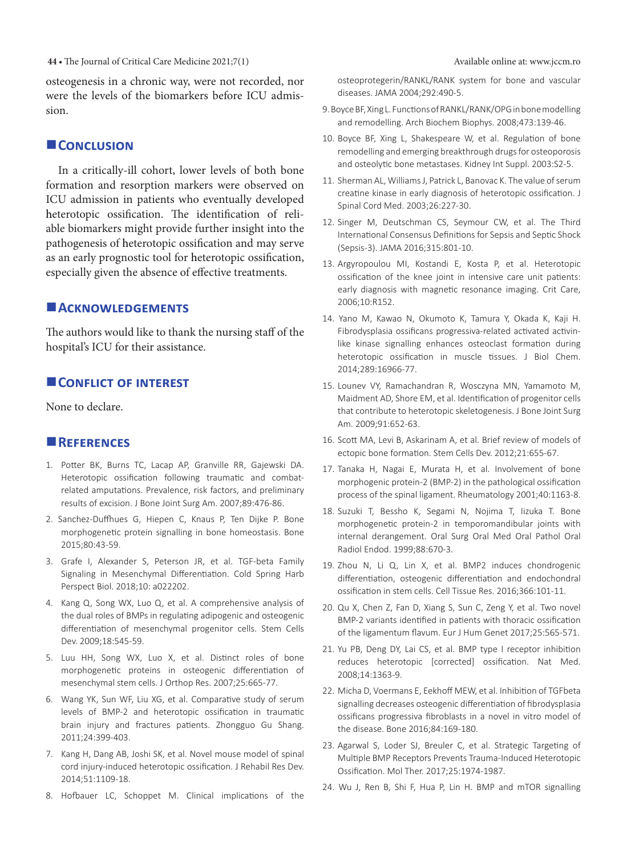**44 •** The Journal of Critical Care Medicine 2021;7(1) Available online at: www.jccm.ro

osteogenesis in a chronic way, were not recorded, nor were the levels of the biomarkers before ICU admission.

### **CONCLUSION**

In a critically-ill cohort, lower levels of both bone formation and resorption markers were observed on ICU admission in patients who eventually developed heterotopic ossification. The identification of reliable biomarkers might provide further insight into the pathogenesis of heterotopic ossification and may serve as an early prognostic tool for heterotopic ossification, especially given the absence of effective treatments.

### **Acknowledgements**

The authors would like to thank the nursing staff of the hospital's ICU for their assistance.

### **CONFLICT OF INTEREST**

None to declare.

# **References**

- 1. Potter BK, Burns TC, Lacap AP, Granville RR, Gajewski DA. Heterotopic ossification following traumatic and combatrelated amputations. Prevalence, risk factors, and preliminary results of excision. J Bone Joint Surg Am. 2007;89:476-86.
- 2. Sanchez-Duffhues G, Hiepen C, Knaus P, Ten Dijke P. Bone morphogenetic protein signalling in bone homeostasis. Bone 2015;80:43-59.
- 3. Grafe I, Alexander S, Peterson JR, et al. TGF-beta Family Signaling in Mesenchymal Differentiation. Cold Spring Harb Perspect Biol. 2018;10: a022202.
- 4. Kang Q, Song WX, Luo Q, et al. A comprehensive analysis of the dual roles of BMPs in regulating adipogenic and osteogenic differentiation of mesenchymal progenitor cells. Stem Cells Dev. 2009;18:545-59.
- 5. Luu HH, Song WX, Luo X, et al. Distinct roles of bone morphogenetic proteins in osteogenic differentiation of mesenchymal stem cells. J Orthop Res. 2007;25:665-77.
- 6. Wang YK, Sun WF, Liu XG, et al. Comparative study of serum levels of BMP-2 and heterotopic ossification in traumatic brain injury and fractures patients. Zhongguo Gu Shang. 2011;24:399-403.
- 7. Kang H, Dang AB, Joshi SK, et al. Novel mouse model of spinal cord injury-induced heterotopic ossification. J Rehabil Res Dev. 2014;51:1109-18.
- 8. Hofbauer LC, Schoppet M. Clinical implications of the

osteoprotegerin/RANKL/RANK system for bone and vascular diseases. JAMA 2004;292:490-5.

- 9. Boyce BF, Xing L. Functions of RANKL/RANK/OPG in bone modelling and remodelling. Arch Biochem Biophys. 2008;473:139-46.
- 10. Boyce BF, Xing L, Shakespeare W, et al. Regulation of bone remodelling and emerging breakthrough drugsfor osteoporosis and osteolytic bone metastases. Kidney Int Suppl. 2003:S2-5.
- 11. Sherman AL, Williams J. Patrick L. Banovac K. The value of serum creatine kinase in early diagnosis of heterotopic ossification. J Spinal Cord Med. 2003;26:227-30.
- 12. Singer M, Deutschman CS, Seymour CW, et al. The Third International Consensus Definitions for Sepsis and Septic Shock (Sepsis-3). JAMA 2016;315:801-10.
- 13. Argyropoulou MI, Kostandi E, Kosta P, et al. Heterotopic ossification of the knee joint in intensive care unit patients: early diagnosis with magnetic resonance imaging. Crit Care, 2006;10:R152.
- 14. Yano M, Kawao N, Okumoto K, Tamura Y, Okada K, Kaji H. Fibrodysplasia ossificans progressiva-related activated activinlike kinase signalling enhances osteoclast formation during heterotopic ossification in muscle tissues. J Biol Chem. 2014;289:16966-77.
- 15. Lounev VY, Ramachandran R, Wosczyna MN, Yamamoto M, Maidment AD, Shore EM, et al. Identification of progenitor cells that contribute to heterotopic skeletogenesis. J Bone Joint Surg Am. 2009;91:652-63.
- 16. Scott MA, Levi B, Askarinam A, et al. Brief review of models of ectopic bone formation. Stem Cells Dev. 2012;21:655-67.
- 17. Tanaka H, Nagai E, Murata H, et al. Involvement of bone morphogenic protein-2 (BMP-2) in the pathological ossification process of the spinal ligament. Rheumatology 2001;40:1163-8.
- 18. Suzuki T, Bessho K, Segami N, Nojima T, Iizuka T. Bone morphogenetic protein-2 in temporomandibular joints with internal derangement. Oral Surg Oral Med Oral Pathol Oral Radiol Endod. 1999;88:670-3.
- 19. Zhou N, Li Q, Lin X, et al. BMP2 induces chondrogenic differentiation, osteogenic differentiation and endochondral ossification in stem cells. Cell Tissue Res. 2016;366:101-11.
- 20. Qu X, Chen Z, Fan D, Xiang S, Sun C, Zeng Y, et al. Two novel BMP-2 variants identified in patients with thoracic ossification of the ligamentum flavum. Eur J Hum Genet 2017;25:565-571.
- 21. Yu PB, Deng DY, Lai CS, et al. BMP type I receptor inhibition reduces heterotopic [corrected] ossification. Nat Med. 2008;14:1363-9.
- 22. Micha D, Voermans E, Eekhoff MEW, et al. Inhibition of TGFbeta signalling decreases osteogenic differentiation of fibrodysplasia ossificans progressiva fibroblasts in a novel in vitro model of the disease. Bone 2016;84:169-180.
- 23. Agarwal S, Loder SJ, Breuler C, et al. Strategic Targeting of Multiple BMP Receptors Prevents Trauma-Induced Heterotopic Ossification. Mol Ther. 2017;25:1974-1987.
- 24. Wu J, Ren B, Shi F, Hua P, Lin H. BMP and mTOR signalling